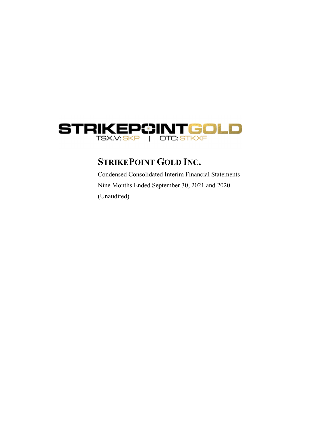

# **STRIKEPOINT GOLD INC.**

Condensed Consolidated Interim Financial Statements Nine Months Ended September 30, 2021 and 2020 (Unaudited)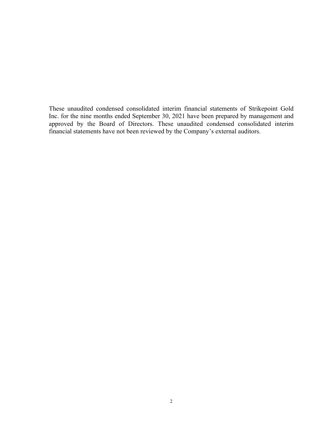These unaudited condensed consolidated interim financial statements of Strikepoint Gold Inc. for the nine months ended September 30, 2021 have been prepared by management and approved by the Board of Directors. These unaudited condensed consolidated interim financial statements have not been reviewed by the Company's external auditors.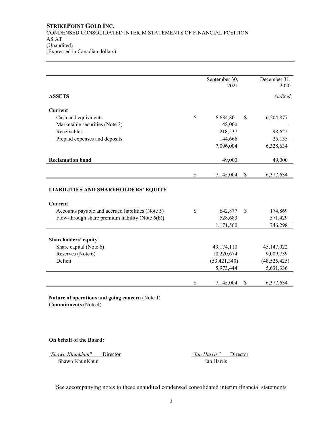|                                                     | September 30,<br>2021 | December 31,<br>2020 |
|-----------------------------------------------------|-----------------------|----------------------|
| <b>ASSETS</b>                                       |                       | Audited              |
| <b>Current</b>                                      |                       |                      |
| Cash and equivalents                                | \$<br>6,684,801       | \$<br>6,204,877      |
| Marketable securities (Note 3)                      | 48,000                |                      |
| Receivables                                         | 218,537               | 98,622               |
| Prepaid expenses and deposits                       | 144,666               | 25,135               |
|                                                     | 7,096,004             | 6,328,634            |
| <b>Reclamation bond</b>                             | 49,000                | 49,000               |
|                                                     | \$<br>7,145,004       | \$<br>6,377,634      |
| <b>LIABILITIES AND SHAREHOLDERS' EQUITY</b>         |                       |                      |
| <b>Current</b>                                      |                       |                      |
| Accounts payable and accrued liabilities (Note 5)   | \$<br>642,877         | \$<br>174,869        |
| Flow-through share premium liability (Note $6(b)$ ) | 528,683               | 571,429              |
|                                                     | 1,171,560             | 746,298              |
| <b>Shareholders' equity</b>                         |                       |                      |
| Share capital (Note 6)                              | 49,174,110            | 45, 147, 022         |
| Reserves (Note 6)                                   | 10,220,674            | 9,009,739            |
| Deficit                                             | (53, 421, 340)        | (48, 525, 425)       |
|                                                     | 5,973,444             | 5,631,336            |
|                                                     | \$<br>7,145,004       | \$<br>6,377,634      |

**Nature of operations and going concern** (Note 1) **Commitments** (Note 4)

**On behalf of the Board:** 

*"Shawn Khunkhun"* Director*"Ian Harris"* Director Shawn KhunKhun Ian Harris

See accompanying notes to these unaudited condensed consolidated interim financial statements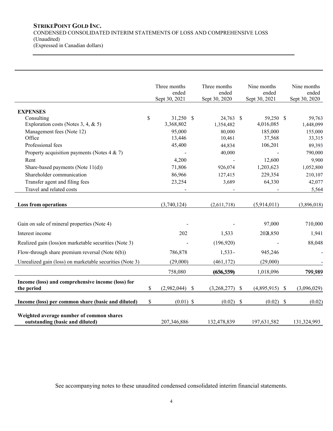# **STRIKEPOINT GOLD INC.** CONDENSED CONSOLIDATED INTERIM STATEMENTS OF LOSS AND COMPREHENSIVE LOSS (Unaudited) (Expressed in Canadian dollars)

|                                                                             |      | Three months     | Three months  |               | Nine months   |               | Nine months   |
|-----------------------------------------------------------------------------|------|------------------|---------------|---------------|---------------|---------------|---------------|
|                                                                             |      | ended            | ended         |               | ended         |               | ended         |
|                                                                             |      | Sept 30, 2021    | Sept 30, 2020 |               | Sept 30, 2021 |               | Sept 30, 2020 |
| <b>EXPENSES</b>                                                             |      |                  |               |               |               |               |               |
| Consulting                                                                  | \$   | 31,250 \$        | 24,763 \$     |               | 59,250 \$     |               | 59,763        |
| Exploration costs (Notes 3, 4, & 5)                                         |      | 3,368,802        | 1,354,482     |               | 4,016,085     |               | 1,448,099     |
| Management fees (Note 12)                                                   |      | 95,000           | 80,000        |               | 185,000       |               | 155,000       |
| Office                                                                      |      | 13,446           | 10,461        |               | 37,568        |               | 33,315        |
| Professional fees                                                           |      | 45,400           | 44,834        |               | 106,201       |               | 89,393        |
| Property acquisition payments (Notes $4 & 7$ )                              |      |                  | 40,000        |               |               |               | 790,000       |
| Rent                                                                        |      | 4,200            |               |               | 12,600        |               | 9,900         |
| Share-based payments (Note 11(d))                                           |      | 71,806           | 926,074       |               | 1,203,623     |               | 1,052,800     |
| Shareholder communication                                                   |      | 86,966           | 127,415       |               | 229,354       |               | 210,107       |
| Transfer agent and filing fees                                              |      | 23,254           | 3,689         |               | 64,330        |               | 42,077        |
| Travel and related costs                                                    |      |                  |               |               |               |               | 5,564         |
|                                                                             |      |                  |               |               |               |               |               |
| <b>Loss from operations</b>                                                 |      | (3,740,124)      | (2,611,718)   |               | (5,914,011)   |               | (3,896,018)   |
|                                                                             |      |                  |               |               |               |               |               |
| Gain on sale of mineral properties (Note 4)                                 |      |                  |               |               | 97,000        |               | 710,000       |
| Interest income                                                             |      | 202              | 1,533         |               | 2024,850      |               | 1,941         |
| Realized gain (loss) on marketable securities (Note 3)                      |      |                  | (196,920)     |               |               |               | 88,048        |
| Flow-through share premium reversal (Note $6(b)$ )                          |      | 786,878          | $1,533-$      |               | 945,246       |               |               |
| Unrealized gain (loss) on marketable securities (Note 3)                    |      | (29,000)         | (461, 172)    |               | (29,000)      |               |               |
|                                                                             |      | 758,080          | (656, 559)    |               | 1,018,096     |               | 799,989       |
| Income (loss) and comprehensive income (loss) for                           |      |                  |               |               |               |               |               |
| the period                                                                  | \$   | $(2,982,044)$ \$ | (3,268,277)   | -\$           | (4,895,915)   | $\mathcal{S}$ | (3,096,029)   |
| Income (loss) per common share (basic and diluted)                          | $\$$ | $(0.01)$ \$      | (0.02)        | $\mathcal{S}$ | (0.02)        | $\mathbb{S}$  | (0.02)        |
| Weighted average number of common shares<br>outstanding (basic and diluted) |      | 207,346,886      | 132,478,839   |               | 197,631,582   |               | 131,324,993   |

See accompanying notes to these unaudited condensed consolidated interim financial statements.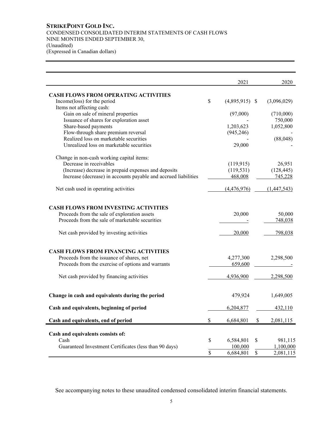# **STRIKEPOINT GOLD INC.** CONDENSED CONSOLIDATED INTERIM STATEMENTS OF CASH FLOWS NINE MONTHS ENDED SEPTEMBER 30, (Unaudited) (Expressed in Canadian dollars)

|                                                                                                                                                | 2021                   | 2020              |
|------------------------------------------------------------------------------------------------------------------------------------------------|------------------------|-------------------|
| <b>CASH FLOWS FROM OPERATING ACTIVITIES</b>                                                                                                    |                        |                   |
| Income(loss) for the period                                                                                                                    | \$<br>$(4,895,915)$ \$ | (3,096,029)       |
| Items not affecting cash:                                                                                                                      |                        |                   |
| Gain on sale of mineral properties                                                                                                             | (97,000)               | (710,000)         |
| Issuance of shares for exploration asset                                                                                                       |                        | 750,000           |
| Share-based payments                                                                                                                           | 1,203,623              | 1,052,800         |
| Flow-through share premium reversal                                                                                                            | (945, 246)             |                   |
| Realized loss on marketable securities                                                                                                         |                        | (88, 048)         |
| Unrealized loss on marketable securities                                                                                                       | 29,000                 |                   |
| Change in non-cash working capital items:                                                                                                      |                        |                   |
| Decrease in receivables                                                                                                                        | (119, 915)             | 26,951            |
| (Increase) decrease in prepaid expenses and deposits                                                                                           | (119, 531)             | (128, 445)        |
| Increase (decrease) in accounts payable and accrued liabilities                                                                                | 468,008                | 745,228           |
| Net cash used in operating activities                                                                                                          | (4,476,976)            | (1,447,543)       |
| <b>CASH FLOWS FROM INVESTING ACTIVITIES</b><br>Proceeds from the sale of exploration assets<br>Proceeds from the sale of marketable securities | 20,000                 | 50,000<br>748,038 |
| Net cash provided by investing activities                                                                                                      | 20,000                 | 798,038           |
| <b>CASH FLOWS FROM FINANCING ACTIVITIES</b><br>Proceeds from the issuance of shares, net                                                       | 4,277,300              | 2,298,500         |
| Proceeds from the exercise of options and warrants                                                                                             | 659,600                |                   |
| Net cash provided by financing activities                                                                                                      | 4,936,900              | 2,298,500         |
| Change in cash and equivalents during the period                                                                                               | 479,924                | 1,649,005         |
| Cash and equivalents, beginning of period                                                                                                      | 6,204,877              | 432,110           |
| Cash and equivalents, end of period                                                                                                            | \$<br>6,684,801        | \$<br>2,081,115   |
| Cash and equivalents consists of:<br>Cash                                                                                                      | \$<br>6,584,801        | \$<br>981,115     |
| Guaranteed Investment Certificates (less than 90 days)                                                                                         | 100,000                | 1,100,000         |
|                                                                                                                                                | \$<br>6,684,801        | \$<br>2,081,115   |

See accompanying notes to these unaudited condensed consolidated interim financial statements.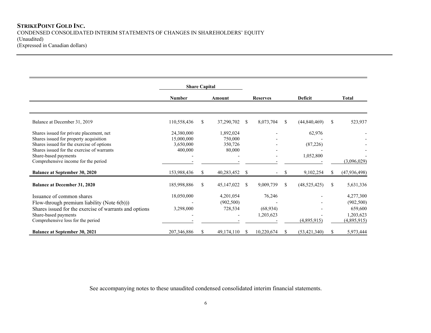|                                                             |               | <b>Share Capital</b> |            |               |                 |               |                |     |                |
|-------------------------------------------------------------|---------------|----------------------|------------|---------------|-----------------|---------------|----------------|-----|----------------|
|                                                             | <b>Number</b> |                      | Amount     |               | <b>Reserves</b> |               | <b>Deficit</b> |     | <b>Total</b>   |
|                                                             |               |                      |            |               |                 |               |                |     |                |
| Balance at December 31, 2019                                | 110,558,436   | \$                   | 37,290,702 | <sup>S</sup>  | 8,073,704       | <sup>\$</sup> | (44, 840, 469) | S   | 523,937        |
| Shares issued for private placement, net                    | 24,380,000    |                      | 1,892,024  |               |                 |               | 62,976         |     |                |
| Shares issued for property acquisition                      | 15,000,000    |                      | 750,000    |               |                 |               |                |     |                |
| Shares issued for the exercise of options                   | 3,650,000     |                      | 350,726    |               |                 |               | (87, 226)      |     |                |
| Shares issued for the exercise of warrants                  | 400,000       |                      | 80,000     |               |                 |               |                |     |                |
| Share-based payments<br>Comprehensive income for the period |               |                      |            |               |                 |               | 1,052,800      |     | (3,096,029)    |
|                                                             |               |                      |            |               |                 |               |                |     |                |
| <b>Balance at September 30, 2020</b>                        | 153,988,436   | S                    | 40,283,452 | <sup>\$</sup> |                 | \$.           | 9,102,254      |     | (47, 936, 498) |
| <b>Balance at December 31, 2020</b>                         | 185,998,886   | \$                   | 45,147,022 | <sup>\$</sup> | 9,009,739       | <sup>\$</sup> | (48,525,425)   | \$. | 5,631,336      |
| Issuance of common shares                                   | 18,050,000    |                      | 4,201,054  |               | 76,246          |               |                |     | 4,277,300      |
| Flow-through premium liability (Note $6(b)$ ))              |               |                      | (902, 500) |               |                 |               |                |     | (902, 500)     |
| Shares issued for the exercise of warrants and options      | 3,298,000     |                      | 728,534    |               | (68, 934)       |               |                |     | 659,600        |
| Share-based payments                                        |               |                      |            |               | 1,203,623       |               |                |     | 1,203,623      |
| Comprehensive loss for the period                           |               |                      |            |               |                 |               | (4,895,915)    |     | (4,895,915)    |
| <b>Balance at September 30, 2021</b>                        | 207,346,886   | S                    | 49,174,110 |               | 10,220,674      | S             | (53, 421, 340) | S.  | 5,973,444      |

See accompanying notes to these unaudited condensed consolidated interim financial statements.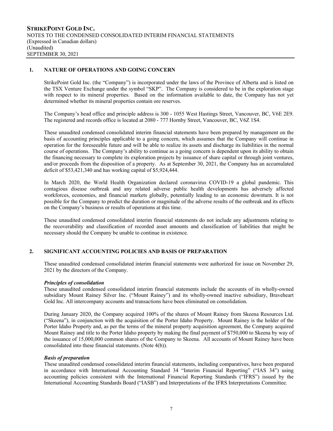# **1. NATURE OF OPERATIONS AND GOING CONCERN**

StrikePoint Gold Inc. (the "Company") is incorporated under the laws of the Province of Alberta and is listed on the TSX Venture Exchange under the symbol "SKP". The Company is considered to be in the exploration stage with respect to its mineral properties. Based on the information available to date, the Company has not yet determined whether its mineral properties contain ore reserves.

The Company's head office and principle address is 300 - 1055 West Hastings Street, Vancouver, BC, V6E 2E9. The registered and records office is located at 2080 - 777 Hornby Street, Vancouver, BC, V6Z 1S4.

These unaudited condensed consolidated interim financial statements have been prepared by management on the basis of accounting principles applicable to a going concern, which assumes that the Company will continue in operation for the foreseeable future and will be able to realize its assets and discharge its liabilities in the normal course of operations. The Company's ability to continue as a going concern is dependent upon its ability to obtain the financing necessary to complete its exploration projects by issuance of share capital or through joint ventures, and/or proceeds from the disposition of a property. As at September 30, 2021, the Company has an accumulated deficit of \$53,421,340 and has working capital of \$5,924,444.

In March 2020, the World Health Organization declared coronavirus COVID-19 a global pandemic. This contagious disease outbreak and any related adverse public health developments has adversely affected workforces, economies, and financial markets globally, potentially leading to an economic downturn. It is not possible for the Company to predict the duration or magnitude of the adverse results of the outbreak and its effects on the Company's business or results of operations at this time.

These unaudited condensed consolidated interim financial statements do not include any adjustments relating to the recoverability and classification of recorded asset amounts and classification of liabilities that might be necessary should the Company be unable to continue in existence.

# **2. SIGNIFICANT ACCOUNTING POLICIES AND BASIS OF PREPARATION**

These unaudited condensed consolidated interim financial statements were authorized for issue on November 29, 2021 by the directors of the Company.

## *Principles of consolidation*

These unaudited condensed consolidated interim financial statements include the accounts of its wholly-owned subsidiary Mount Rainey Silver Inc. ("Mount Rainey") and its wholly-owned inactive subsidiary, Braveheart Gold Inc. All intercompany accounts and transactions have been eliminated on consolidation.

During January 2020, the Company acquired 100% of the shares of Mount Rainey from Skeena Resources Ltd. ("Skeena"), in conjunction with the acquisition of the Porter Idaho Property. Mount Rainey is the holder of the Porter Idaho Property and, as per the terms of the mineral property acquisition agreement, the Company acquired Mount Rainey and title to the Porter Idaho property by making the final payment of \$750,000 to Skeena by way of the issuance of 15,000,000 common shares of the Company to Skeena. All accounts of Mount Rainey have been consolidated into these financial statements. (Note 4(b)).

## *Basis of preparation*

These unaudited condensed consolidated interim financial statements, including comparatives, have been prepared in accordance with International Accounting Standard 34 "Interim Financial Reporting" ("IAS 34") using accounting policies consistent with the International Financial Reporting Standards ("IFRS") issued by the International Accounting Standards Board ("IASB") and Interpretations of the IFRS Interpretations Committee.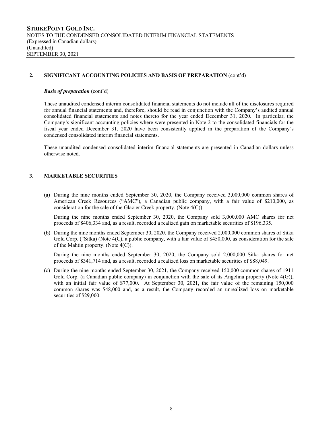## **2. SIGNIFICANT ACCOUNTING POLICIES AND BASIS OF PREPARATION** (cont'd)

#### *Basis of preparation* (cont'd)

These unaudited condensed interim consolidated financial statements do not include all of the disclosures required for annual financial statements and, therefore, should be read in conjunction with the Company's audited annual consolidated financial statements and notes thereto for the year ended December 31, 2020. In particular, the Company's significant accounting policies where were presented in Note 2 to the consolidated financials for the fiscal year ended December 31, 2020 have been consistently applied in the preparation of the Company's condensed consolidated interim financial statements.

These unaudited condensed consolidated interim financial statements are presented in Canadian dollars unless otherwise noted.

## **3. MARKETABLE SECURITIES**

(a) During the nine months ended September 30, 2020, the Company received 3,000,000 common shares of American Creek Resources ("AMC"), a Canadian public company, with a fair value of \$210,000, as consideration for the sale of the Glacier Creek property. (Note 4(C))

During the nine months ended September 30, 2020, the Company sold 3,000,000 AMC shares for net proceeds of \$406,334 and, as a result, recorded a realized gain on marketable securities of \$196,335.

(b) During the nine months ended September 30, 2020, the Company received 2,000,000 common shares of Sitka Gold Corp. ("Sitka) (Note 4(C), a public company, with a fair value of \$450,000, as consideration for the sale of the Mahtin property. (Note 4(C)).

During the nine months ended September 30, 2020, the Company sold 2,000,000 Sitka shares for net proceeds of \$341,714 and, as a result, recorded a realized loss on marketable securities of \$88,049.

(c) During the nine months ended September 30, 2021, the Company received 150,000 common shares of 1911 Gold Corp. (a Canadian public company) in conjunction with the sale of its Angelina property (Note 4(G)), with an initial fair value of \$77,000. At September 30, 2021, the fair value of the remaining 150,000 common shares was \$48,000 and, as a result, the Company recorded an unrealized loss on marketable securities of \$29,000.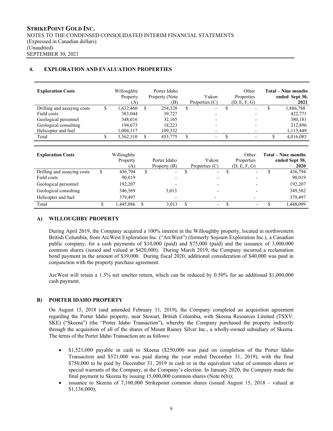# **4. EXPLORATION AND EVALUATION PROPERTIES**

| <b>Exploration Costs</b>    | Willoughby<br>Property<br>(A` | Porter Idaho<br>Property (Note<br>(B) | Yukon<br>Properties $(C)$      |               | Other<br>Properties<br>(D, E, F, G) | <b>Total – Nine months</b><br>ended Sept 30,<br>2021 |
|-----------------------------|-------------------------------|---------------------------------------|--------------------------------|---------------|-------------------------------------|------------------------------------------------------|
| Drilling and assaying costs | \$<br>1,632,460               | \$<br>254,328                         | \$<br>$\overline{\phantom{0}}$ | <sup>\$</sup> |                                     | \$<br>1,886,788                                      |
| Field costs                 | 383,044                       | 39,727                                |                                |               |                                     | 422,771                                              |
| Geological personnel        | 348,016                       | 32,165                                |                                |               |                                     | 380,181                                              |
| Geological consulting       | 194,673                       | 18,223                                |                                |               |                                     | 212,896                                              |
| Helicopter and fuel         | 1,004,117                     | 109,332                               | ۰                              |               |                                     | 1,113,449                                            |
| Total                       | \$<br>3,562,310               | \$<br>453,775                         | \$<br>$\overline{\phantom{0}}$ | \$            |                                     | \$<br>4,016,085                                      |
|                             |                               |                                       |                                |               |                                     |                                                      |
|                             |                               |                                       |                                |               |                                     |                                                      |
| <b>Exploration Costs</b>    | Willoughby                    |                                       |                                |               | Other                               | <b>Total – Nine months</b>                           |
|                             | Property                      | Porter Idaho                          | Yukon                          |               | Properties                          | ended Sept 30,                                       |
|                             | (A)                           | Property $(B)$                        | Properties $(C)$               |               | (D, E, F, G)                        | 2020                                                 |
| Drilling and assaying costs | \$<br>436,794                 | \$                                    | \$                             | \$            | $\overline{\phantom{0}}$            | \$<br>436,794                                        |
| Field costs                 | 90,019                        |                                       |                                |               |                                     | 90,019                                               |
| Geological personnel        | 192,207                       |                                       |                                |               |                                     | 192,207                                              |
| Geological consulting       | 346,569                       | 3,013                                 |                                |               |                                     | 349,582                                              |
| Helicopter and fuel         | 379,497                       |                                       |                                |               |                                     | 379,497                                              |

# **A) WILLOUGHBY PROPERTY**

During April 2019, the Company acquired a 100% interest in the Willoughby property, located in northwestern British Columbia, from ArcWest Exploration Inc. ("ArcWest") (formerly Sojourn Exploration Inc.), a Canadian public company, for a cash payments of \$10,000 (paid) and \$75,000 (paid) and the issuance of 3,000,000 common shares (issued and valued at \$420,000). During March 2019, the Company incurred a reclamation bond payment in the amount of \$39,000. During fiscal 2020, additional consideration of \$40,000 was paid in conjunction with the property purchase agreement.

ArcWest will retain a 1.5% net smelter return, which can be reduced by 0.50% for an additional \$1,000,000 cash payment.

# **B) PORTER IDAHO PROPERTY**

On August 15, 2018 (and amended February 11, 2019), the Company completed an acquisition agreement regarding the Porter Idaho property, near Stewart, British Columbia, with Skeena Resources Limited (TSXV: SKE) ("Skeena") (the "Porter Idaho Transaction"), whereby the Company purchased the property indirectly through the acquisition of all of the shares of Mount Rainey Silver Inc., a wholly-owned subsidiary of Skeena. The terms of the Porter Idaho Transaction are as follows:

- \$1,521,000 payable in cash to Skeena (\$250,000 was paid on completion of the Porter Idaho Transaction and \$521,000 was paid during the year ended December 31, 2019), with the final \$750,000 to be paid by December 31, 2019 in cash or in the equivalent value of common shares or special warrants of the Company, at the Company's election. In January 2020, the Company made the final payment to Skeena by issuing 15,000,000 common shares (Note 6(b));
- issuance to Skeena of 7,100,000 Strikepoint common shares (issued August 15, 2018 valued at \$1,136,000);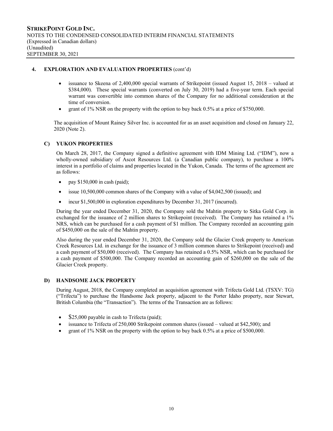# **4. EXPLORATION AND EVALUATION PROPERTIES** (cont'd)

- $\bullet$  issuance to Skeena of 2,400,000 special warrants of Strikepoint (issued August 15, 2018 valued at \$384,000). These special warrants (converted on July 30, 2019) had a five-year term. Each special warrant was convertible into common shares of the Company for no additional consideration at the time of conversion.
- grant of 1% NSR on the property with the option to buy back 0.5% at a price of \$750,000.

The acquisition of Mount Rainey Silver Inc. is accounted for as an asset acquisition and closed on January 22, 2020 (Note 2).

# **C) YUKON PROPERTIES**

On March 28, 2017, the Company signed a definitive agreement with IDM Mining Ltd. ("IDM"), now a wholly-owned subsidiary of Ascot Resources Ltd. (a Canadian public company), to purchase a 100% interest in a portfolio of claims and properties located in the Yukon, Canada. The terms of the agreement are as follows:

- pay  $$150,000$  in cash (paid);
- issue 10,500,000 common shares of the Company with a value of \$4,042,500 (issued); and
- incur \$1,500,000 in exploration expenditures by December 31, 2017 (incurred).

During the year ended December 31, 2020, the Company sold the Mahtin property to Sitka Gold Corp. in exchanged for the issuance of 2 million shares to Strikepoint (received). The Company has retained a 1% NRS, which can be purchased for a cash payment of \$1 million. The Company recorded an accounting gain of \$450,000 on the sale of the Mahtin property.

Also during the year ended December 31, 2020, the Company sold the Glacier Creek property to American Creek Resources Ltd. in exchange for the issuance of 3 million common shares to Strikepoint (received) and a cash payment of \$50,000 (received). The Company has retained a 0.5% NSR, which can be purchased for a cash payment of \$500,000. The Company recorded an accounting gain of \$260,000 on the sale of the Glacier Creek property.

# **D) HANDSOME JACK PROPERTY**

During August, 2018, the Company completed an acquisition agreement with Trifecta Gold Ltd. (TSXV: TG) ("Trifecta") to purchase the Handsome Jack property, adjacent to the Porter Idaho property, near Stewart, British Columbia (the "Transaction"). The terms of the Transaction are as follows:

- $\bullet$  \$25,000 payable in cash to Trifecta (paid);
- issuance to Trifecta of 250,000 Strikepoint common shares (issued valued at \$42,500); and
- grant of 1% NSR on the property with the option to buy back 0.5% at a price of \$500,000.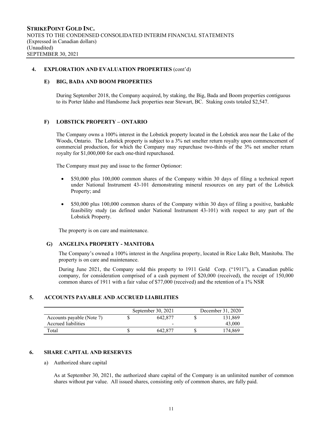## **4. EXPLORATION AND EVALUATION PROPERTIES** (cont'd)

#### **E) BIG, BADA AND BOOM PROPERTIES**

During September 2018, the Company acquired, by staking, the Big, Bada and Boom properties contiguous to its Porter Idaho and Handsome Jack properties near Stewart, BC. Staking costs totaled \$2,547.

## **F) LOBSTICK PROPERTY – ONTARIO**

The Company owns a 100% interest in the Lobstick property located in the Lobstick area near the Lake of the Woods, Ontario. The Lobstick property is subject to a 3% net smelter return royalty upon commencement of commercial production, for which the Company may repurchase two-thirds of the 3% net smelter return royalty for \$1,000,000 for each one-third repurchased.

The Company must pay and issue to the former Optionor:

- \$50,000 plus 100,000 common shares of the Company within 30 days of filing a technical report under National Instrument 43-101 demonstrating mineral resources on any part of the Lobstick Property; and
- \$50,000 plus 100,000 common shares of the Company within 30 days of filing a positive, bankable feasibility study (as defined under National Instrument 43-101) with respect to any part of the Lobstick Property.

The property is on care and maintenance.

## **G) ANGELINA PROPERTY - MANITOBA**

The Company's owned a 100% interest in the Angelina property, located in Rice Lake Belt, Manitoba. The property is on care and maintenance.

During June 2021, the Company sold this property to 1911 Gold Corp. ("1911"), a Canadian public company, for consideration comprised of a cash payment of \$20,000 (received), the receipt of 150,000 common shares of 1911 with a fair value of \$77,000 (received) and the retention of a 1% NSR

# **5. ACCOUNTS PAYABLE AND ACCRUED LIABILITIES**

|                           | September 30, $2021$ | December 31, 2020 |         |  |  |
|---------------------------|----------------------|-------------------|---------|--|--|
| Accounts payable (Note 7) | 642,877              |                   | 131,869 |  |  |
| Accrued liabilities       | -                    |                   | 43,000  |  |  |
| Total                     | 642.877              |                   | 174.869 |  |  |

## **6. SHARE CAPITAL AND RESERVES**

## a) Authorized share capital

As at September 30, 2021, the authorized share capital of the Company is an unlimited number of common shares without par value. All issued shares, consisting only of common shares, are fully paid.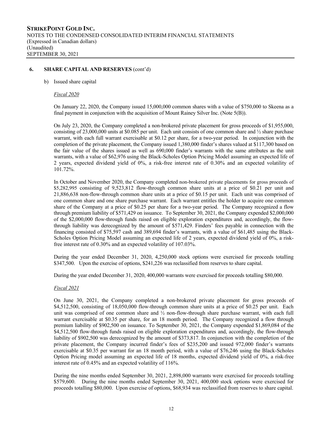#### b) Issued share capital

#### *Fiscal 2020*

On January 22, 2020, the Company issued 15,000,000 common shares with a value of \$750,000 to Skeena as a final payment in conjunction with the acquisition of Mount Rainey Silver Inc. (Note 5(B)).

On July 23, 2020, the Company completed a non-brokered private placement for gross proceeds of \$1,955,000, consisting of 23,000,000 units at \$0.085 per unit. Each unit consists of one common share and ½ share purchase warrant, with each full warrant exercisable at \$0.12 per share, for a two-year period. In conjunction with the completion of the private placement, the Company issued 1,380,000 finder's shares valued at \$117,300 based on the fair value of the shares issued as well as 690,000 finder's warrants with the same attributes as the unit warrants, with a value of \$62,976 using the Black-Scholes Option Pricing Model assuming an expected life of 2 years, expected dividend yield of 0%, a risk-free interest rate of 0.30% and an expected volatility of 101.72%.

In October and November 2020, the Company completed non-brokered private placements for gross proceeds of \$5,282,995 consisting of 9,523,812 flow-through common share units at a price of \$0.21 per unit and 21,886,638 non-flow-through common share units at a price of \$0.15 per unit. Each unit was comprised of one common share and one share purchase warrant. Each warrant entitles the holder to acquire one common share of the Company at a price of \$0.25 per share for a two-year period. The Company recognized a flow through premium liability of \$571,429 on issuance. To September 30, 2021, the Company expended \$2,000,000 of the \$2,000,000 flow-through funds raised on eligible exploration expenditures and, accordingly, the flowthrough liability was derecognized by the amount of \$571,429. Finders' fees payable in connection with the financing consisted of \$75,597 cash and 389,694 finder's warrants, with a value of \$61,485 using the Black-Scholes Option Pricing Model assuming an expected life of 2 years, expected dividend yield of 0%, a riskfree interest rate of 0.30% and an expected volatility of 107.03%.

During the year ended December 31, 2020, 4,250,000 stock options were exercised for proceeds totalling \$347,500. Upon the exercise of options, \$241,226 was reclassified from reserves to share capital.

During the year ended December 31, 2020, 400,000 warrants were exercised for proceeds totalling \$80,000.

## *Fiscal 2021*

On June 30, 2021, the Company completed a non-brokered private placement for gross proceeds of \$4,512,500, consisting of 18,050,000 flow-through common share units at a price of \$0.25 per unit. Each unit was comprised of one common share and ½ non-flow-through share purchase warrant, with each full warrant exercisable at \$0.35 per share, for an 18 month period. The Company recognized a flow through premium liability of \$902,500 on issuance. To September 30, 2021, the Company expended \$1,869,084 of the \$4,512,500 flow-through funds raised on eligible exploration expenditures and, accordingly, the flow-through liability of \$902,500 was derecognized by the amount of \$373,817. In conjunction with the completion of the private placement, the Company incurred finder's fees of \$235,200 and issued 972,000 finder's warrants exercisable at \$0.35 per warrant for an 18 month period, with a value of \$76,246 using the Black-Scholes Option Pricing model assuming an expected life of 18 months, expected dividend yield of 0%, a risk-free interest rate of 0.45% and an expected volatility of 116%.

During the nine months ended September 30, 2021, 2,898,000 warrants were exercised for proceeds totalling \$579,600. During the nine months ended September 30, 2021, 400,000 stock options were exercised for proceeds totalling \$80,000. Upon exercise of options, \$68,934 was reclassified from reserves to share capital.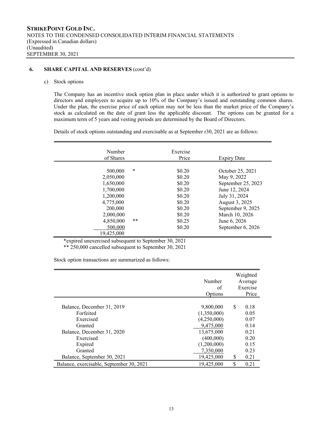#### c) Stock options

The Company has an incentive stock option plan in place under which it is authorized to grant options to directors and employees to acquire up to 10% of the Company's issued and outstanding common shares. Under the plan, the exercise price of each option may not be less than the market price of the Company's stock as calculated on the date of grant less the applicable discount. The options can be granted for a maximum term of 5 years and vesting periods are determined by the Board of Directors.

Details of stock options outstanding and exercisable as at September r30, 2021 are as follows:

| of Shares<br>Price                                                                                                                                                                                                                           | <b>Expiry Date</b>                                                                                                                                                                    |
|----------------------------------------------------------------------------------------------------------------------------------------------------------------------------------------------------------------------------------------------|---------------------------------------------------------------------------------------------------------------------------------------------------------------------------------------|
| $\ast$<br>\$0.20<br>500,000<br>\$0.20<br>2,050,000<br>1,650,000<br>\$0.20<br>1,700,000<br>\$0.20<br>1,200,000<br>\$0.20<br>4,775,000<br>\$0.20<br>200,000<br>\$0.20<br>\$0.20<br>2,000,000<br>**<br>4.850,000<br>\$0.25<br>500,000<br>\$0.20 | October 25, 2021<br>May 9, 2022<br>September 25, 2023<br>June 12, 2024<br>July 31, 2024<br>August 3, 2025<br>September 9, 2025<br>March 10, 2026<br>June 6, 2026<br>September 6, 2026 |

\*expired unexercised subsequent to September 30, 2021

\*\* 250,000 cancelled subsequent to September 30, 2021

Stock option transactions are summarized as follows:

|                                          | Number      | Weighted<br>Average |
|------------------------------------------|-------------|---------------------|
|                                          | of          | Exercise            |
|                                          | Options     | Price               |
|                                          |             |                     |
| Balance, December 31, 2019               | 9,800,000   | \$<br>0.18          |
| Forfeited                                | (1,350,000) | 0.05                |
| Exercised                                | (4,250,000) | 0.07                |
| Granted                                  | 9,475,000   | 0.14                |
| Balance, December 31, 2020               | 13,675,000  | 0.21                |
| Exercised                                | (400,000)   | 0.20                |
| Expired                                  | (1,200,000) | 0.15                |
| Granted                                  | 7,350,000   | 0.23                |
| Balance, September 30, 2021              | 19,425,000  | \$<br>0.21          |
| Balance, exercisable, September 30, 2021 | 19,425,000  | \$<br>0.21          |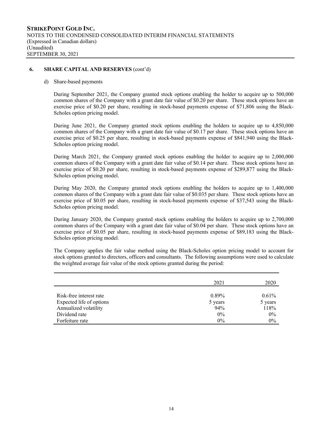d) Share-based payments

During September 2021, the Company granted stock options enabling the holder to acquire up to 500,000 common shares of the Company with a grant date fair value of \$0.20 per share. These stock options have an exercise price of \$0.20 per share, resulting in stock-based payments expense of \$71,806 using the Black-Scholes option pricing model.

During June 2021, the Company granted stock options enabling the holders to acquire up to 4,850,000 common shares of the Company with a grant date fair value of \$0.17 per share. These stock options have an exercise price of \$0.25 per share, resulting in stock-based payments expense of \$841,940 using the Black-Scholes option pricing model.

During March 2021, the Company granted stock options enabling the holder to acquire up to 2,000,000 common shares of the Company with a grant date fair value of \$0.14 per share. These stock options have an exercise price of \$0.20 per share, resulting in stock-based payments expense of \$289,877 using the Black-Scholes option pricing model.

During May 2020, the Company granted stock options enabling the holders to acquire up to 1,400,000 common shares of the Company with a grant date fair value of \$0.035 per share. These stock options have an exercise price of \$0.05 per share, resulting in stock-based payments expense of \$37,543 using the Black-Scholes option pricing model.

During January 2020, the Company granted stock options enabling the holders to acquire up to 2,700,000 common shares of the Company with a grant date fair value of \$0.04 per share. These stock options have an exercise price of \$0.05 per share, resulting in stock-based payments expense of \$89,183 using the Black-Scholes option pricing model.

The Company applies the fair value method using the Black-Scholes option pricing model to account for stock options granted to directors, officers and consultants. The following assumptions were used to calculate the weighted average fair value of the stock options granted during the period:

|                          | 2021     | 2020     |
|--------------------------|----------|----------|
| Risk-free interest rate  | $0.89\%$ | $0.61\%$ |
| Expected life of options | 5 years  | 5 years  |
| Annualized volatility    | 94%      | 118%     |
| Dividend rate            | $0\%$    | $0\%$    |
| Forfeiture rate          | $0\%$    | $0\%$    |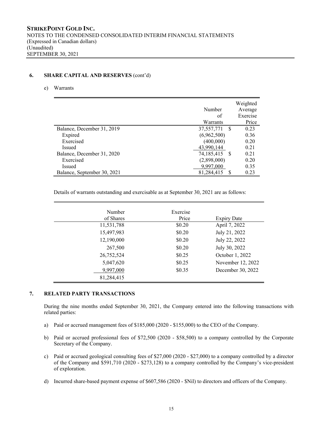# e) Warrants

|                             | Number<br>of<br>Warrants | Weighted<br>Average<br>Exercise<br>Price |
|-----------------------------|--------------------------|------------------------------------------|
| Balance, December 31, 2019  | 37,557,771<br>-S         | 0.23                                     |
| Expired                     | (6,962,500)              | 0.36                                     |
| Exercised                   | (400,000)                | 0.20                                     |
| Issued                      | 43,990,144               | 0.21                                     |
| Balance, December 31, 2020  | 74,185,415<br>- S        | 0.21                                     |
| Exercised                   | (2,898,000)              | 0.20                                     |
| <b>Issued</b>               | 9,997,000                | 0.35                                     |
| Balance, September 30, 2021 | 81,284,415               | 0.23                                     |

Details of warrants outstanding and exercisable as at September 30, 2021 are as follows:

| Number<br>of Shares | Exercise<br>Price | <b>Expiry Date</b> |
|---------------------|-------------------|--------------------|
| 11,531,788          | \$0.20            | April 7, 2022      |
| 15,497,983          | \$0.20            | July 21, 2022      |
| 12,190,000          | \$0.20            | July 22, 2022      |
| 267,500             | \$0.20            | July 30, 2022      |
| 26,752,524          | \$0.25            | October 1, 2022    |
| 5,047,620           | \$0.25            | November 12, 2022  |
| 9,997,000           | \$0.35            | December 30, 2022  |
| 81,284,415          |                   |                    |

# **7. RELATED PARTY TRANSACTIONS**

During the nine months ended September 30, 2021, the Company entered into the following transactions with related parties:

- a) Paid or accrued management fees of \$185,000 (2020 \$155,000) to the CEO of the Company.
- b) Paid or accrued professional fees of \$72,500 (2020 \$58,500) to a company controlled by the Corporate Secretary of the Company.
- c) Paid or accrued geological consulting fees of \$27,000 (2020 \$27,000) to a company controlled by a director of the Company and \$591,710 (2020 - \$273,128) to a company controlled by the Company's vice-president of exploration.
- d) Incurred share-based payment expense of \$607,586 (2020 \$Nil) to directors and officers of the Company.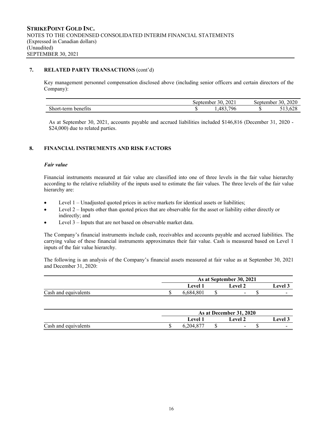# **7. RELATED PARTY TRANSACTIONS** (cont'd)

Key management personnel compensation disclosed above (including senior officers and certain directors of the Company):

|                                         |     | $\mathbf{a}\mathbf{a}$<br>30.<br>September<br>ZUZI | 0.020<br>30<br>sentember<br>ZUZU |                                                    |  |
|-----------------------------------------|-----|----------------------------------------------------|----------------------------------|----------------------------------------------------|--|
| $\sim$<br>short<br>benetits.<br>.t-term | . . | 796<br>$48^\circ$<br>.                             |                                  | $\sim$ $\sim$ $\sim$<br>$\sim$<br><b>ULU . ULU</b> |  |

As at September 30, 2021, accounts payable and accrued liabilities included \$146,816 (December 31, 2020 - \$24,000) due to related parties.

# **8. FINANCIAL INSTRUMENTS AND RISK FACTORS**

# *Fair value*

Financial instruments measured at fair value are classified into one of three levels in the fair value hierarchy according to the relative reliability of the inputs used to estimate the fair values. The three levels of the fair value hierarchy are:

- Level 1 Unadjusted quoted prices in active markets for identical assets or liabilities;
- Level 2 Inputs other than quoted prices that are observable for the asset or liability either directly or indirectly; and
- Level 3 Inputs that are not based on observable market data.

The Company's financial instruments include cash, receivables and accounts payable and accrued liabilities. The carrying value of these financial instruments approximates their fair value. Cash is measured based on Level 1 inputs of the fair value hierarchy.

The following is an analysis of the Company's financial assets measured at fair value as at September 30, 2021 and December 31, 2020:

|                      | As at September 30, 2021 |           |  |                |                            |  |  |
|----------------------|--------------------------|-----------|--|----------------|----------------------------|--|--|
|                      |                          | Level 1   |  | evel 2         | $\epsilon$ evel $\epsilon$ |  |  |
| Cash and equivalents |                          | 6.684.801 |  | $\blacksquare$ | $\overline{\phantom{0}}$   |  |  |

|                      | As at December 31, 2020 |  |                          |  |        |  |  |
|----------------------|-------------------------|--|--------------------------|--|--------|--|--|
|                      | Level 1                 |  | ∟evel 2                  |  | evel 3 |  |  |
| Cash and equivalents | 0,204,87                |  | $\overline{\phantom{a}}$ |  | -      |  |  |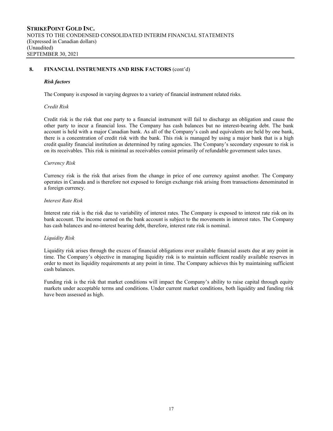# **8. FINANCIAL INSTRUMENTS AND RISK FACTORS** (cont'd)

## *Risk factors*

The Company is exposed in varying degrees to a variety of financial instrument related risks.

## *Credit Risk*

Credit risk is the risk that one party to a financial instrument will fail to discharge an obligation and cause the other party to incur a financial loss. The Company has cash balances but no interest-bearing debt. The bank account is held with a major Canadian bank. As all of the Company's cash and equivalents are held by one bank, there is a concentration of credit risk with the bank. This risk is managed by using a major bank that is a high credit quality financial institution as determined by rating agencies. The Company's secondary exposure to risk is on its receivables. This risk is minimal as receivables consist primarily of refundable government sales taxes.

## *Currency Risk*

Currency risk is the risk that arises from the change in price of one currency against another. The Company operates in Canada and is therefore not exposed to foreign exchange risk arising from transactions denominated in a foreign currency.

## *Interest Rate Risk*

Interest rate risk is the risk due to variability of interest rates. The Company is exposed to interest rate risk on its bank account. The income earned on the bank account is subject to the movements in interest rates. The Company has cash balances and no-interest bearing debt, therefore, interest rate risk is nominal.

## *Liquidity Risk*

Liquidity risk arises through the excess of financial obligations over available financial assets due at any point in time. The Company's objective in managing liquidity risk is to maintain sufficient readily available reserves in order to meet its liquidity requirements at any point in time. The Company achieves this by maintaining sufficient cash balances.

Funding risk is the risk that market conditions will impact the Company's ability to raise capital through equity markets under acceptable terms and conditions. Under current market conditions, both liquidity and funding risk have been assessed as high.